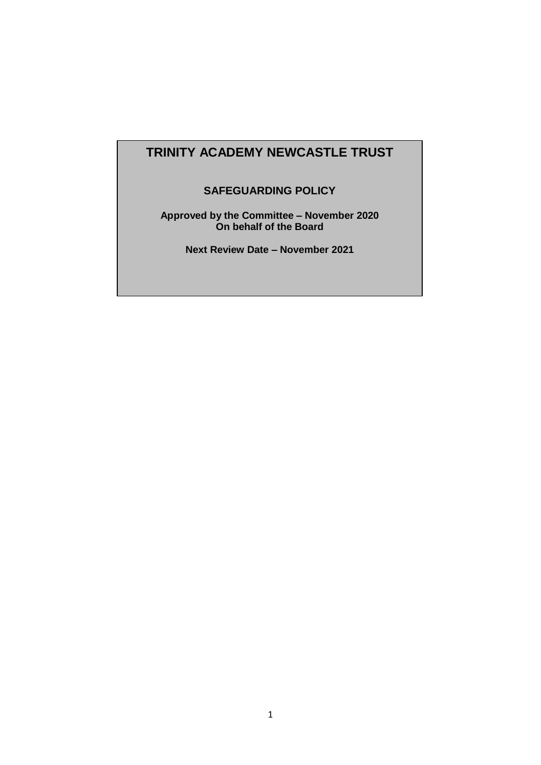## **TRINITY ACADEMY NEWCASTLE TRUST**

## **SAFEGUARDING POLICY**

**Approved by the Committee – November 2020 On behalf of the Board**

**Next Review Date – November 2021**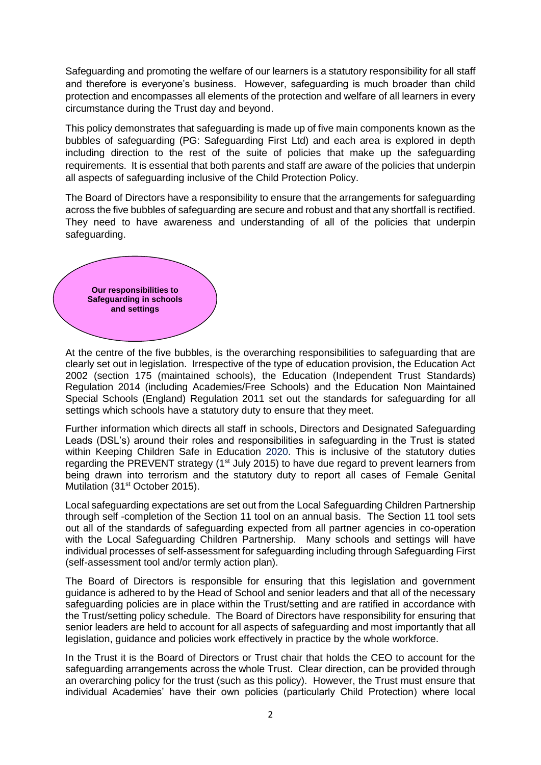Safeguarding and promoting the welfare of our learners is a statutory responsibility for all staff and therefore is everyone's business. However, safeguarding is much broader than child protection and encompasses all elements of the protection and welfare of all learners in every circumstance during the Trust day and beyond.

This policy demonstrates that safeguarding is made up of five main components known as the bubbles of safeguarding (PG: Safeguarding First Ltd) and each area is explored in depth including direction to the rest of the suite of policies that make up the safeguarding requirements. It is essential that both parents and staff are aware of the policies that underpin all aspects of safeguarding inclusive of the Child Protection Policy.

The Board of Directors have a responsibility to ensure that the arrangements for safeguarding across the five bubbles of safeguarding are secure and robust and that any shortfall is rectified. They need to have awareness and understanding of all of the policies that underpin safeguarding.



At the centre of the five bubbles, is the overarching responsibilities to safeguarding that are clearly set out in legislation. Irrespective of the type of education provision, the Education Act 2002 (section 175 (maintained schools), the Education (Independent Trust Standards) Regulation 2014 (including Academies/Free Schools) and the Education Non Maintained Special Schools (England) Regulation 2011 set out the standards for safeguarding for all settings which schools have a statutory duty to ensure that they meet.

Further information which directs all staff in schools, Directors and Designated Safeguarding Leads (DSL's) around their roles and responsibilities in safeguarding in the Trust is stated within Keeping Children Safe in Education 2020. This is inclusive of the statutory duties regarding the PREVENT strategy (1<sup>st</sup> July 2015) to have due regard to prevent learners from being drawn into terrorism and the statutory duty to report all cases of Female Genital Mutilation (31<sup>st</sup> October 2015).

Local safeguarding expectations are set out from the Local Safeguarding Children Partnership through self -completion of the Section 11 tool on an annual basis. The Section 11 tool sets out all of the standards of safeguarding expected from all partner agencies in co-operation with the Local Safeguarding Children Partnership. Many schools and settings will have individual processes of self-assessment for safeguarding including through Safeguarding First (self-assessment tool and/or termly action plan).

The Board of Directors is responsible for ensuring that this legislation and government guidance is adhered to by the Head of School and senior leaders and that all of the necessary safeguarding policies are in place within the Trust/setting and are ratified in accordance with the Trust/setting policy schedule. The Board of Directors have responsibility for ensuring that senior leaders are held to account for all aspects of safeguarding and most importantly that all legislation, guidance and policies work effectively in practice by the whole workforce.

In the Trust it is the Board of Directors or Trust chair that holds the CEO to account for the safeguarding arrangements across the whole Trust. Clear direction, can be provided through an overarching policy for the trust (such as this policy). However, the Trust must ensure that individual Academies' have their own policies (particularly Child Protection) where local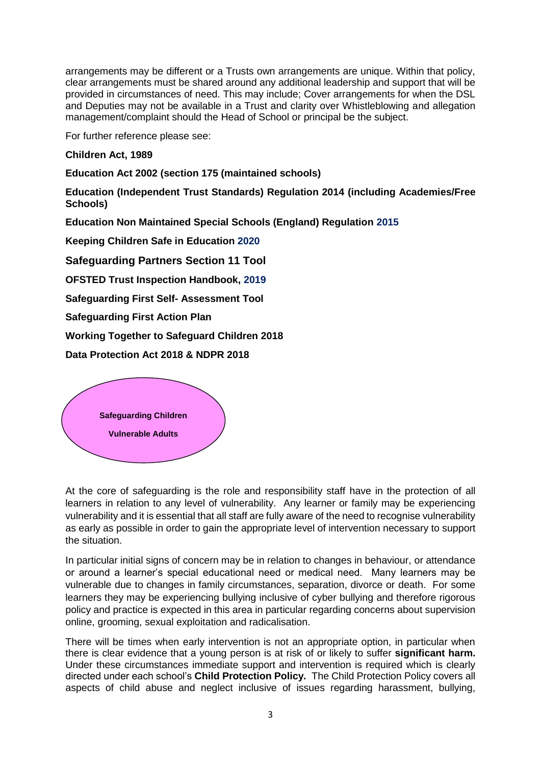arrangements may be different or a Trusts own arrangements are unique. Within that policy, clear arrangements must be shared around any additional leadership and support that will be provided in circumstances of need. This may include; Cover arrangements for when the DSL and Deputies may not be available in a Trust and clarity over Whistleblowing and allegation management/complaint should the Head of School or principal be the subject.

For further reference please see:

**Children Act, 1989**

**Education Act 2002 (section 175 (maintained schools)**

**Education (Independent Trust Standards) Regulation 2014 (including Academies/Free Schools)**

**Education Non Maintained Special Schools (England) Regulation 2015**

**Keeping Children Safe in Education 2020**

**Safeguarding Partners Section 11 Tool**

**OFSTED Trust Inspection Handbook, 2019**

**Safeguarding First Self- Assessment Tool**

**Safeguarding First Action Plan**

**Working Together to Safeguard Children 2018**

**Data Protection Act 2018 & NDPR 2018** 



At the core of safeguarding is the role and responsibility staff have in the protection of all learners in relation to any level of vulnerability. Any learner or family may be experiencing vulnerability and it is essential that all staff are fully aware of the need to recognise vulnerability as early as possible in order to gain the appropriate level of intervention necessary to support the situation.

In particular initial signs of concern may be in relation to changes in behaviour, or attendance or around a learner's special educational need or medical need. Many learners may be vulnerable due to changes in family circumstances, separation, divorce or death. For some learners they may be experiencing bullying inclusive of cyber bullying and therefore rigorous policy and practice is expected in this area in particular regarding concerns about supervision online, grooming, sexual exploitation and radicalisation.

There will be times when early intervention is not an appropriate option, in particular when there is clear evidence that a young person is at risk of or likely to suffer **significant harm.**  Under these circumstances immediate support and intervention is required which is clearly directed under each school's **Child Protection Policy.** The Child Protection Policy covers all aspects of child abuse and neglect inclusive of issues regarding harassment, bullying,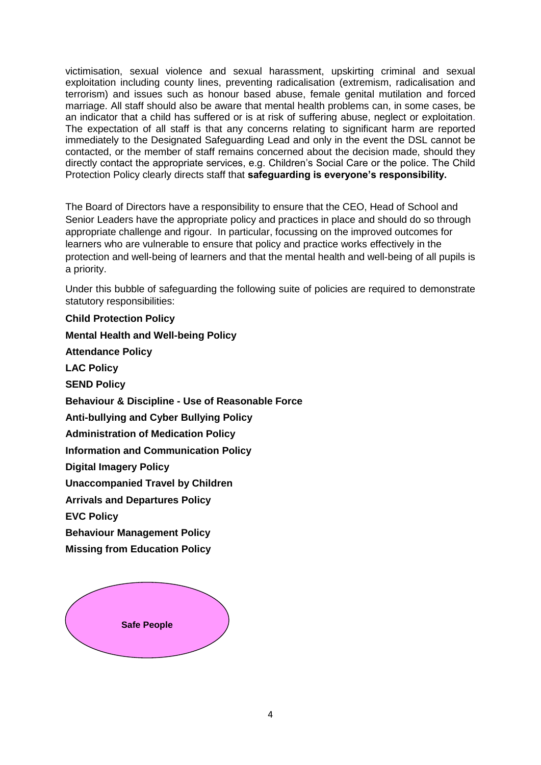victimisation, sexual violence and sexual harassment, upskirting criminal and sexual exploitation including county lines, preventing radicalisation (extremism, radicalisation and terrorism) and issues such as honour based abuse, female genital mutilation and forced marriage. All staff should also be aware that mental health problems can, in some cases, be an indicator that a child has suffered or is at risk of suffering abuse, neglect or exploitation. The expectation of all staff is that any concerns relating to significant harm are reported immediately to the Designated Safeguarding Lead and only in the event the DSL cannot be contacted, or the member of staff remains concerned about the decision made, should they directly contact the appropriate services, e.g. Children's Social Care or the police. The Child Protection Policy clearly directs staff that **safeguarding is everyone's responsibility.**

The Board of Directors have a responsibility to ensure that the CEO, Head of School and Senior Leaders have the appropriate policy and practices in place and should do so through appropriate challenge and rigour. In particular, focussing on the improved outcomes for learners who are vulnerable to ensure that policy and practice works effectively in the protection and well-being of learners and that the mental health and well-being of all pupils is a priority.

Under this bubble of safeguarding the following suite of policies are required to demonstrate statutory responsibilities:

**Child Protection Policy Mental Health and Well-being Policy Attendance Policy LAC Policy SEND Policy Behaviour & Discipline - Use of Reasonable Force Anti-bullying and Cyber Bullying Policy Administration of Medication Policy Information and Communication Policy Digital Imagery Policy Unaccompanied Travel by Children Arrivals and Departures Policy EVC Policy Behaviour Management Policy Missing from Education Policy**

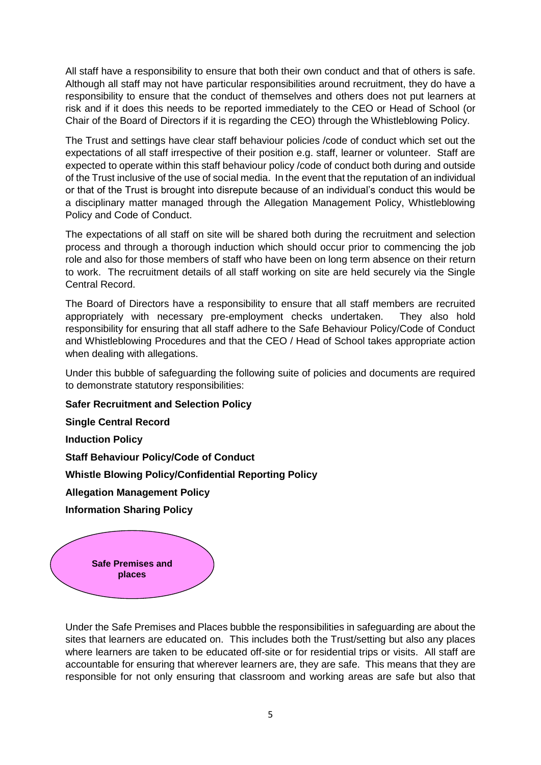All staff have a responsibility to ensure that both their own conduct and that of others is safe. Although all staff may not have particular responsibilities around recruitment, they do have a responsibility to ensure that the conduct of themselves and others does not put learners at risk and if it does this needs to be reported immediately to the CEO or Head of School (or Chair of the Board of Directors if it is regarding the CEO) through the Whistleblowing Policy.

The Trust and settings have clear staff behaviour policies /code of conduct which set out the expectations of all staff irrespective of their position e.g. staff, learner or volunteer. Staff are expected to operate within this staff behaviour policy /code of conduct both during and outside of the Trust inclusive of the use of social media. In the event that the reputation of an individual or that of the Trust is brought into disrepute because of an individual's conduct this would be a disciplinary matter managed through the Allegation Management Policy, Whistleblowing Policy and Code of Conduct.

The expectations of all staff on site will be shared both during the recruitment and selection process and through a thorough induction which should occur prior to commencing the job role and also for those members of staff who have been on long term absence on their return to work. The recruitment details of all staff working on site are held securely via the Single Central Record.

The Board of Directors have a responsibility to ensure that all staff members are recruited appropriately with necessary pre-employment checks undertaken. They also hold responsibility for ensuring that all staff adhere to the Safe Behaviour Policy/Code of Conduct and Whistleblowing Procedures and that the CEO / Head of School takes appropriate action when dealing with allegations.

Under this bubble of safeguarding the following suite of policies and documents are required to demonstrate statutory responsibilities:

**Safer Recruitment and Selection Policy** 

**Single Central Record** 

**Induction Policy**

**Staff Behaviour Policy/Code of Conduct** 

**Whistle Blowing Policy/Confidential Reporting Policy** 

**Allegation Management Policy**

**Information Sharing Policy** 



Under the Safe Premises and Places bubble the responsibilities in safeguarding are about the sites that learners are educated on. This includes both the Trust/setting but also any places where learners are taken to be educated off-site or for residential trips or visits. All staff are accountable for ensuring that wherever learners are, they are safe. This means that they are responsible for not only ensuring that classroom and working areas are safe but also that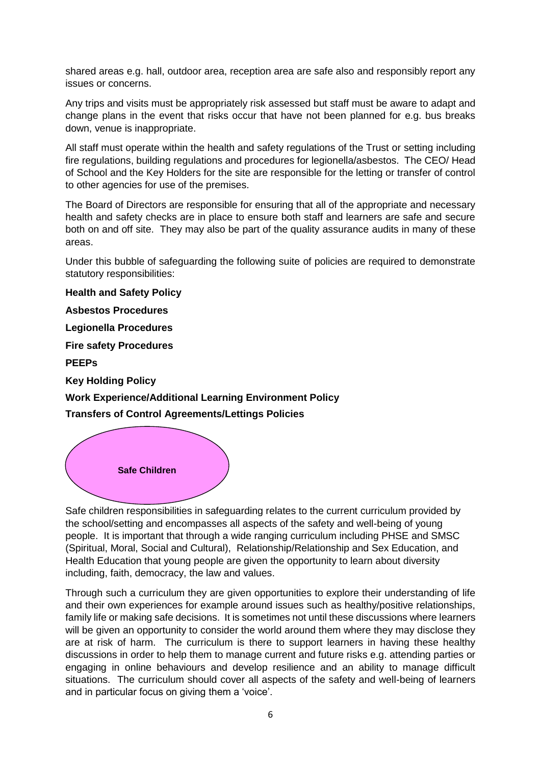shared areas e.g. hall, outdoor area, reception area are safe also and responsibly report any issues or concerns.

Any trips and visits must be appropriately risk assessed but staff must be aware to adapt and change plans in the event that risks occur that have not been planned for e.g. bus breaks down, venue is inappropriate.

All staff must operate within the health and safety regulations of the Trust or setting including fire regulations, building regulations and procedures for legionella/asbestos. The CEO/ Head of School and the Key Holders for the site are responsible for the letting or transfer of control to other agencies for use of the premises.

The Board of Directors are responsible for ensuring that all of the appropriate and necessary health and safety checks are in place to ensure both staff and learners are safe and secure both on and off site. They may also be part of the quality assurance audits in many of these areas.

Under this bubble of safeguarding the following suite of policies are required to demonstrate statutory responsibilities:

**Health and Safety Policy Asbestos Procedures Legionella Procedures Fire safety Procedures PEEPs Key Holding Policy Work Experience/Additional Learning Environment Policy Transfers of Control Agreements/Lettings Policies** 



Safe children responsibilities in safeguarding relates to the current curriculum provided by the school/setting and encompasses all aspects of the safety and well-being of young people. It is important that through a wide ranging curriculum including PHSE and SMSC (Spiritual, Moral, Social and Cultural), Relationship/Relationship and Sex Education, and Health Education that young people are given the opportunity to learn about diversity including, faith, democracy, the law and values.

Through such a curriculum they are given opportunities to explore their understanding of life and their own experiences for example around issues such as healthy/positive relationships, family life or making safe decisions. It is sometimes not until these discussions where learners will be given an opportunity to consider the world around them where they may disclose they are at risk of harm. The curriculum is there to support learners in having these healthy discussions in order to help them to manage current and future risks e.g. attending parties or engaging in online behaviours and develop resilience and an ability to manage difficult situations. The curriculum should cover all aspects of the safety and well-being of learners and in particular focus on giving them a 'voice'.